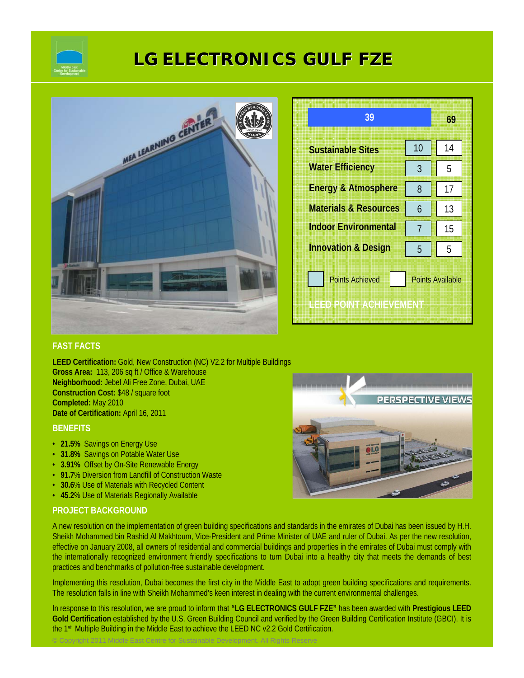

# **LG ELECTRONICS GULF FZE**



| 39                                                                           |    | 69 |
|------------------------------------------------------------------------------|----|----|
| <b>Sustainable Sites</b>                                                     | 10 | 14 |
| <b>Water Efficiency</b>                                                      | 3  | 5  |
| <b>Energy &amp; Atmosphere</b>                                               | 8  | 17 |
| <b>Materials &amp; Resources</b>                                             | 6  | 13 |
| <b>Indoor Environmental</b>                                                  | 7  | 15 |
| <b>Innovation &amp; Design</b>                                               | 5  | 5  |
| <b>Points Achieved</b><br><b>Points Available</b><br>ILEED POINT ACHIEVEMENT |    |    |

### **FAST FACTS**

**LEED Certification:** Gold, New Construction (NC) V2.2 for Multiple Buildings **Gross Area:** 113, 206 sq ft / Office & Warehouse **Neighborhood:** Jebel Ali Free Zone, Dubai, UAE **Construction Cost:** \$48 / square foot **Completed:** May 2010 **Date of Certification:** April 16, 2011

© Copyright 2011 Middle East Centre for Sustainable Development. All Rights Reserve

#### **BENEFITS**

- **21.5%** Savings on Energy Use
- **31.8%** Savings on Potable Water Use
- **3.91%** Offset by On-Site Renewable Energy
- **91.7**% Diversion from Landfill of Construction Waste
- **30.6**% Use of Materials with Recycled Content
- **45.2**% Use of Materials Regionally Available

## **PROJECT BACKGROUND**

A new resolution on the implementation of green building specifications and standards in the emirates of Dubai has been issued by H.H. Sheikh Mohammed bin Rashid Al Makhtoum, Vice-President and Prime Minister of UAE and ruler of Dubai. As per the new resolution, effective on January 2008, all owners of residential and commercial buildings and properties in the emirates of Dubai must comply with the internationally recognized environment friendly specifications to turn Dubai into a healthy city that meets the demands of best practices and benchmarks of pollution-free sustainable development.

Implementing this resolution, Dubai becomes the first city in the Middle East to adopt green building specifications and requirements. The resolution falls in line with Sheikh Mohammed's keen interest in dealing with the current environmental challenges.

In response to this resolution, we are proud to inform that **"LG ELECTRONICS GULF FZE"** has been awarded with **Prestigious LEED Gold Certification** established by the U.S. Green Building Council and verified by the Green Building Certification Institute (GBCI). It is the 1<sup>st</sup> Multiple Building in the Middle East to achieve the LEED NC v2.2 Gold Certification.